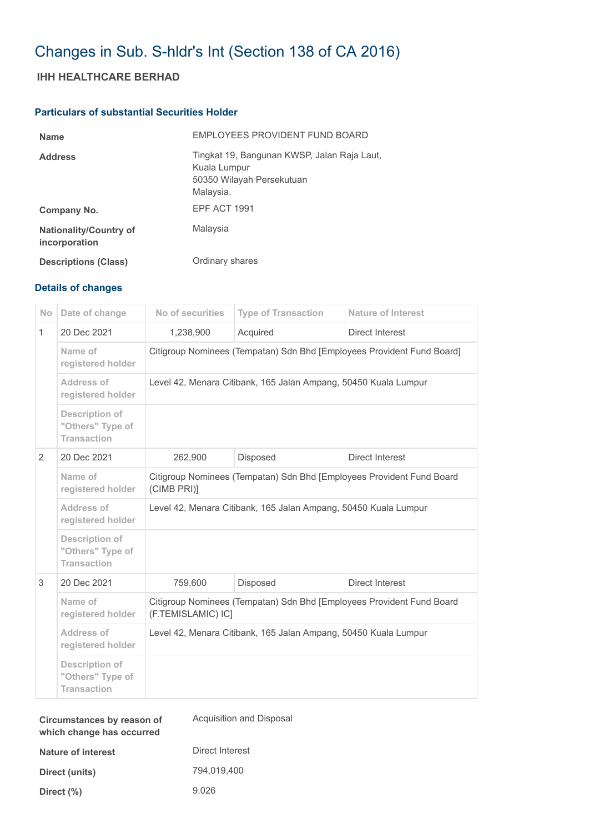# Changes in Sub. S-hldr's Int (Section 138 of CA 2016)

## **IHH HEALTHCARE BERHAD**

### **Particulars of substantial Securities Holder**

| <b>Name</b>                                    | EMPLOYEES PROVIDENT FUND BOARD                                                                        |
|------------------------------------------------|-------------------------------------------------------------------------------------------------------|
| <b>Address</b>                                 | Tingkat 19, Bangunan KWSP, Jalan Raja Laut,<br>Kuala Lumpur<br>50350 Wilayah Persekutuan<br>Malaysia. |
| Company No.                                    | EPF ACT 1991                                                                                          |
| <b>Nationality/Country of</b><br>incorporation | Malaysia                                                                                              |
| <b>Descriptions (Class)</b>                    | Ordinary shares                                                                                       |

### **Details of changes**

| <b>No</b>    | Date of change                                                  | No of securities                                                                            | <b>Type of Transaction</b> | Nature of Interest |  |
|--------------|-----------------------------------------------------------------|---------------------------------------------------------------------------------------------|----------------------------|--------------------|--|
| $\mathbf{1}$ | 20 Dec 2021                                                     | 1,238,900                                                                                   | Acquired                   | Direct Interest    |  |
|              | Name of<br>registered holder                                    | Citigroup Nominees (Tempatan) Sdn Bhd [Employees Provident Fund Board]                      |                            |                    |  |
|              | Address of<br>registered holder                                 | Level 42, Menara Citibank, 165 Jalan Ampang, 50450 Kuala Lumpur                             |                            |                    |  |
|              | <b>Description of</b><br>"Others" Type of<br><b>Transaction</b> |                                                                                             |                            |                    |  |
| 2            | 20 Dec 2021                                                     | 262,900                                                                                     | Disposed                   | Direct Interest    |  |
|              | Name of<br>registered holder                                    | Citigroup Nominees (Tempatan) Sdn Bhd [Employees Provident Fund Board<br>(CIMB PRI)]        |                            |                    |  |
|              | Address of<br>registered holder                                 | Level 42, Menara Citibank, 165 Jalan Ampang, 50450 Kuala Lumpur                             |                            |                    |  |
|              | <b>Description of</b><br>"Others" Type of<br><b>Transaction</b> |                                                                                             |                            |                    |  |
| 3            | 20 Dec 2021                                                     | 759,600                                                                                     | Disposed                   | Direct Interest    |  |
|              | Name of<br>registered holder                                    | Citigroup Nominees (Tempatan) Sdn Bhd [Employees Provident Fund Board<br>(F.TEMISLAMIC) IC] |                            |                    |  |
|              | Address of<br>registered holder                                 | Level 42, Menara Citibank, 165 Jalan Ampang, 50450 Kuala Lumpur                             |                            |                    |  |
|              | <b>Description of</b><br>"Others" Type of<br><b>Transaction</b> |                                                                                             |                            |                    |  |

| Circumstances by reason of<br>which change has occurred | Acquisition and Disposal |
|---------------------------------------------------------|--------------------------|
| Nature of interest                                      | Direct Interest          |
| Direct (units)                                          | 794.019.400              |
| Direct $(\%)$                                           | 9.026                    |